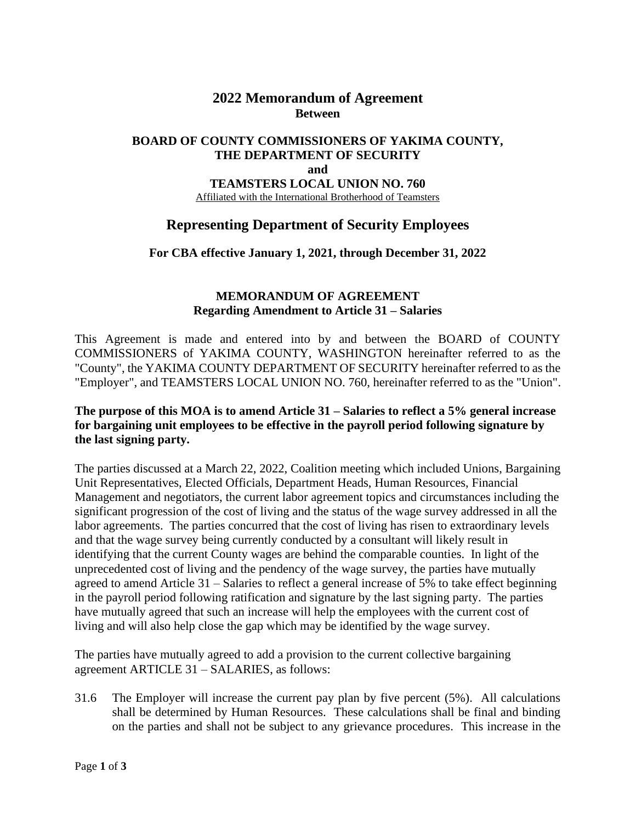# **2022 Memorandum of Agreement Between**

#### **BOARD OF COUNTY COMMISSIONERS OF YAKIMA COUNTY, THE DEPARTMENT OF SECURITY and TEAMSTERS LOCAL UNION NO. 760** Affiliated with the International Brotherhood of Teamsters

## **Representing Department of Security Employees**

**For CBA effective January 1, 2021, through December 31, 2022**

### **MEMORANDUM OF AGREEMENT Regarding Amendment to Article 31 – Salaries**

This Agreement is made and entered into by and between the BOARD of COUNTY COMMISSIONERS of YAKIMA COUNTY, WASHINGTON hereinafter referred to as the "County", the YAKIMA COUNTY DEPARTMENT OF SECURITY hereinafter referred to as the "Employer", and TEAMSTERS LOCAL UNION NO. 760, hereinafter referred to as the "Union".

#### **The purpose of this MOA is to amend Article 31 – Salaries to reflect a 5% general increase for bargaining unit employees to be effective in the payroll period following signature by the last signing party.**

The parties discussed at a March 22, 2022, Coalition meeting which included Unions, Bargaining Unit Representatives, Elected Officials, Department Heads, Human Resources, Financial Management and negotiators, the current labor agreement topics and circumstances including the significant progression of the cost of living and the status of the wage survey addressed in all the labor agreements. The parties concurred that the cost of living has risen to extraordinary levels and that the wage survey being currently conducted by a consultant will likely result in identifying that the current County wages are behind the comparable counties. In light of the unprecedented cost of living and the pendency of the wage survey, the parties have mutually agreed to amend Article 31 – Salaries to reflect a general increase of 5% to take effect beginning in the payroll period following ratification and signature by the last signing party. The parties have mutually agreed that such an increase will help the employees with the current cost of living and will also help close the gap which may be identified by the wage survey.

The parties have mutually agreed to add a provision to the current collective bargaining agreement ARTICLE 31 – SALARIES, as follows:

31.6 The Employer will increase the current pay plan by five percent (5%). All calculations shall be determined by Human Resources. These calculations shall be final and binding on the parties and shall not be subject to any grievance procedures. This increase in the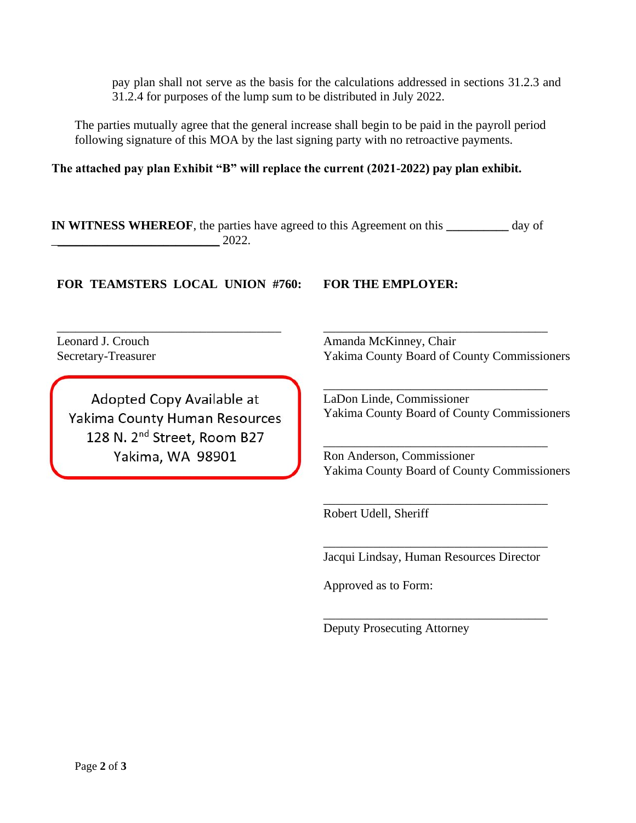pay plan shall not serve as the basis for the calculations addressed in sections 31.2.3 and 31.2.4 for purposes of the lump sum to be distributed in July 2022.

The parties mutually agree that the general increase shall begin to be paid in the payroll period following signature of this MOA by the last signing party with no retroactive payments.

**The attached pay plan Exhibit "B" will replace the current (2021-2022) pay plan exhibit.** 

**IN WITNESS WHEREOF**, the parties have agreed to this Agreement on this **\_\_\_\_\_\_\_\_\_\_** day of  $2022.$ 

**FOR TEAMSTERS LOCAL UNION #760: FOR THE EMPLOYER:**

\_\_\_\_\_\_\_\_\_\_\_\_\_\_\_\_\_\_\_\_\_\_\_\_\_\_\_\_\_\_\_\_\_\_\_\_

Leonard J. Crouch Secretary-Treasurer

Adopted Copy Available at Yakima County Human Resources 128 N. 2<sup>nd</sup> Street, Room B27 Yakima, WA 98901

Amanda McKinney, Chair Yakima County Board of County Commissioners

\_\_\_\_\_\_\_\_\_\_\_\_\_\_\_\_\_\_\_\_\_\_\_\_\_\_\_\_\_\_\_\_\_\_\_\_

\_\_\_\_\_\_\_\_\_\_\_\_\_\_\_\_\_\_\_\_\_\_\_\_\_\_\_\_\_\_\_\_\_\_\_\_ LaDon Linde, Commissioner Yakima County Board of County Commissioners

Ron Anderson, Commissioner Yakima County Board of County Commissioners

\_\_\_\_\_\_\_\_\_\_\_\_\_\_\_\_\_\_\_\_\_\_\_\_\_\_\_\_\_\_\_\_\_\_\_\_

\_\_\_\_\_\_\_\_\_\_\_\_\_\_\_\_\_\_\_\_\_\_\_\_\_\_\_\_\_\_\_\_\_\_\_\_

Robert Udell, Sheriff

\_\_\_\_\_\_\_\_\_\_\_\_\_\_\_\_\_\_\_\_\_\_\_\_\_\_\_\_\_\_\_\_\_\_\_\_ Jacqui Lindsay, Human Resources Director

\_\_\_\_\_\_\_\_\_\_\_\_\_\_\_\_\_\_\_\_\_\_\_\_\_\_\_\_\_\_\_\_\_\_\_\_

Approved as to Form:

Deputy Prosecuting Attorney